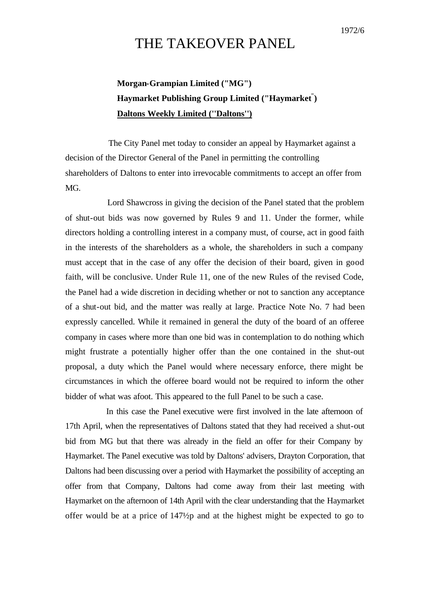## THE TAKEOVER PANEL

## **Morgan-Grampian Limited ("MG") Haymarket Publishing Group Limited ("Haymarket" ) Daltons Weekly Limited (''Daltons'')**

The City Panel met today to consider an appeal by Haymarket against a decision of the Director General of the Panel in permitting the controlling shareholders of Daltons to enter into irrevocable commitments to accept an offer from MG.

Lord Shawcross in giving the decision of the Panel stated that the problem of shut-out bids was now governed by Rules 9 and 11. Under the former, while directors holding a controlling interest in a company must, of course, act in good faith in the interests of the shareholders as a whole, the shareholders in such a company must accept that in the case of any offer the decision of their board, given in good faith, will be conclusive. Under Rule 11, one of the new Rules of the revised Code, the Panel had a wide discretion in deciding whether or not to sanction any acceptance of a shut-out bid, and the matter was really at large. Practice Note No. 7 had been expressly cancelled. While it remained in general the duty of the board of an offeree company in cases where more than one bid was in contemplation to do nothing which might frustrate a potentially higher offer than the one contained in the shut-out proposal, a duty which the Panel would where necessary enforce, there might be circumstances in which the offeree board would not be required to inform the other bidder of what was afoot. This appeared to the full Panel to be such a case.

In this case the Panel executive were first involved in the late afternoon of 17th April, when the representatives of Daltons stated that they had received a shut-out bid from MG but that there was already in the field an offer for their Company by Haymarket. The Panel executive was told by Daltons' advisers, Drayton Corporation, that Daltons had been discussing over a period with Haymarket the possibility of accepting an offer from that Company, Daltons had come away from their last meeting with Haymarket on the afternoon of 14th April with the clear understanding that the Haymarket offer would be at a price of 147½p and at the highest might be expected to go to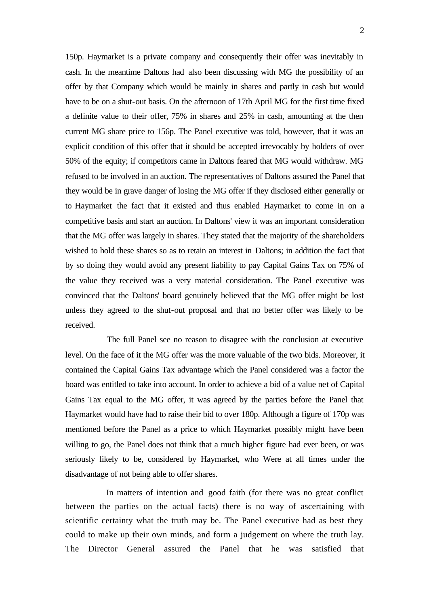150p. Haymarket is a private company and consequently their offer was inevitably in cash. In the meantime Daltons had also been discussing with MG the possibility of an offer by that Company which would be mainly in shares and partly in cash but would have to be on a shut-out basis. On the afternoon of 17th April MG for the first time fixed a definite value to their offer, 75% in shares and 25% in cash, amounting at the then current MG share price to 156p. The Panel executive was told, however, that it was an explicit condition of this offer that it should be accepted irrevocably by holders of over 50% of the equity; if competitors came in Daltons feared that MG would withdraw. MG refused to be involved in an auction. The representatives of Daltons assured the Panel that they would be in grave danger of losing the MG offer if they disclosed either generally or to Haymarket the fact that it existed and thus enabled Haymarket to come in on a competitive basis and start an auction. In Daltons' view it was an important consideration that the MG offer was largely in shares. They stated that the majority of the shareholders wished to hold these shares so as to retain an interest in Daltons; in addition the fact that by so doing they would avoid any present liability to pay Capital Gains Tax on 75% of the value they received was a very material consideration. The Panel executive was convinced that the Daltons' board genuinely believed that the MG offer might be lost unless they agreed to the shut-out proposal and that no better offer was likely to be received.

The full Panel see no reason to disagree with the conclusion at executive level. On the face of it the MG offer was the more valuable of the two bids. Moreover, it contained the Capital Gains Tax advantage which the Panel considered was a factor the board was entitled to take into account. In order to achieve a bid of a value net of Capital Gains Tax equal to the MG offer, it was agreed by the parties before the Panel that Haymarket would have had to raise their bid to over 180p. Although a figure of 170p was mentioned before the Panel as a price to which Haymarket possibly might have been willing to go, the Panel does not think that a much higher figure had ever been, or was seriously likely to be, considered by Haymarket, who Were at all times under the disadvantage of not being able to offer shares.

In matters of intention and good faith (for there was no great conflict between the parties on the actual facts) there is no way of ascertaining with scientific certainty what the truth may be. The Panel executive had as best they could to make up their own minds, and form a judgement on where the truth lay. The Director General assured the Panel that he was satisfied that